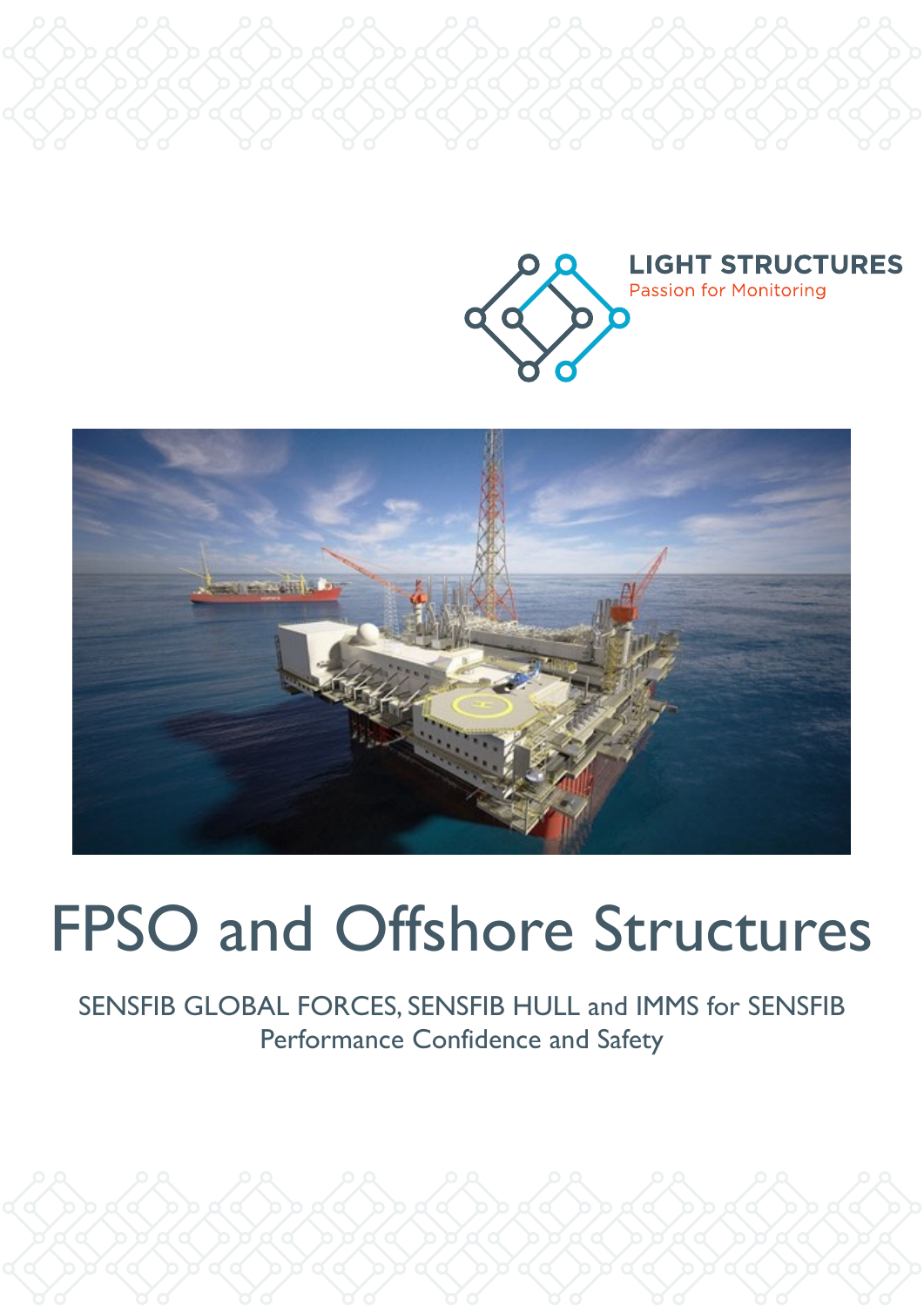



# FPSO and Offshore Structures

SENSFIB GLOBAL FORCES, SENSFIB HULL and IMMS for SENSFIB Performance Confidence and Safety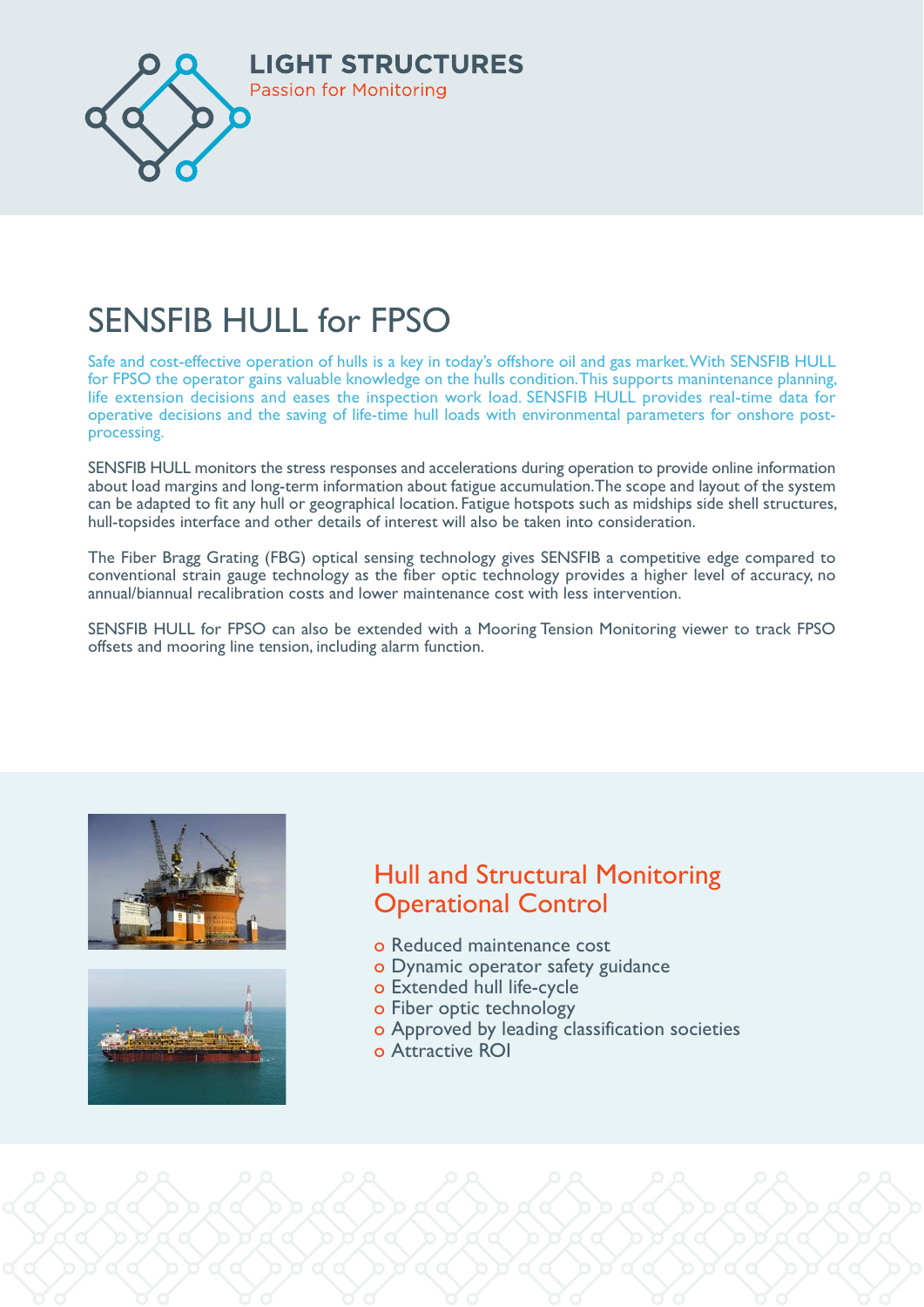

### ČENCEJ JUJI C FRC  $K_{\text{eff}}$ SENSFIB HULL for FPSO

Safe and cost-effective operation of hulls is a key in today's offshore oil and gas market. With SENSFIB HULL for FPSO the operator gains valuable knowledge on the hulls condition. This supports manintenance planning, life extension decisions and eases the inspection work load. SENSFIB HULL provides real-time data for operative decisions and the saving of life-time hull loads with environmental parameters for onshore postprocessing.

SENSFIB HULL monitors the stress responses and accelerations during operation to provide online information about load margins and long-term information about fatigue accumulation. The scope and layout of the system can be adapted to fit any hull or geographical location. Fatigue hotspots such as midships side shell structures, hull-topsides interface and other details of interest will also be taken into consideration.

conventional strain gauge technology as the fiber optic technology provides a higher level of accuracy, no annual/biannual recalibration costs and lower maintenance cost with less intervention. The Fiber Bragg Grating (FBG) optical sensing technology gives SENSFIB a competitive edge compared to

SENSFIB HULL for FPSO can also be extended with a Mooring Tension Monitoring viewer to track FPSO offsets and mooring line tension, including alarm function.





# Hull and Structural Monitoring Operational Control and Guidalian Control

- o Reduced maintenance cost
- o Dynamic operator safety guidance
- o Extended hull life-cycle
- o Fiber optic technology
- o Approved by leading classification societies
- o Attractive ROI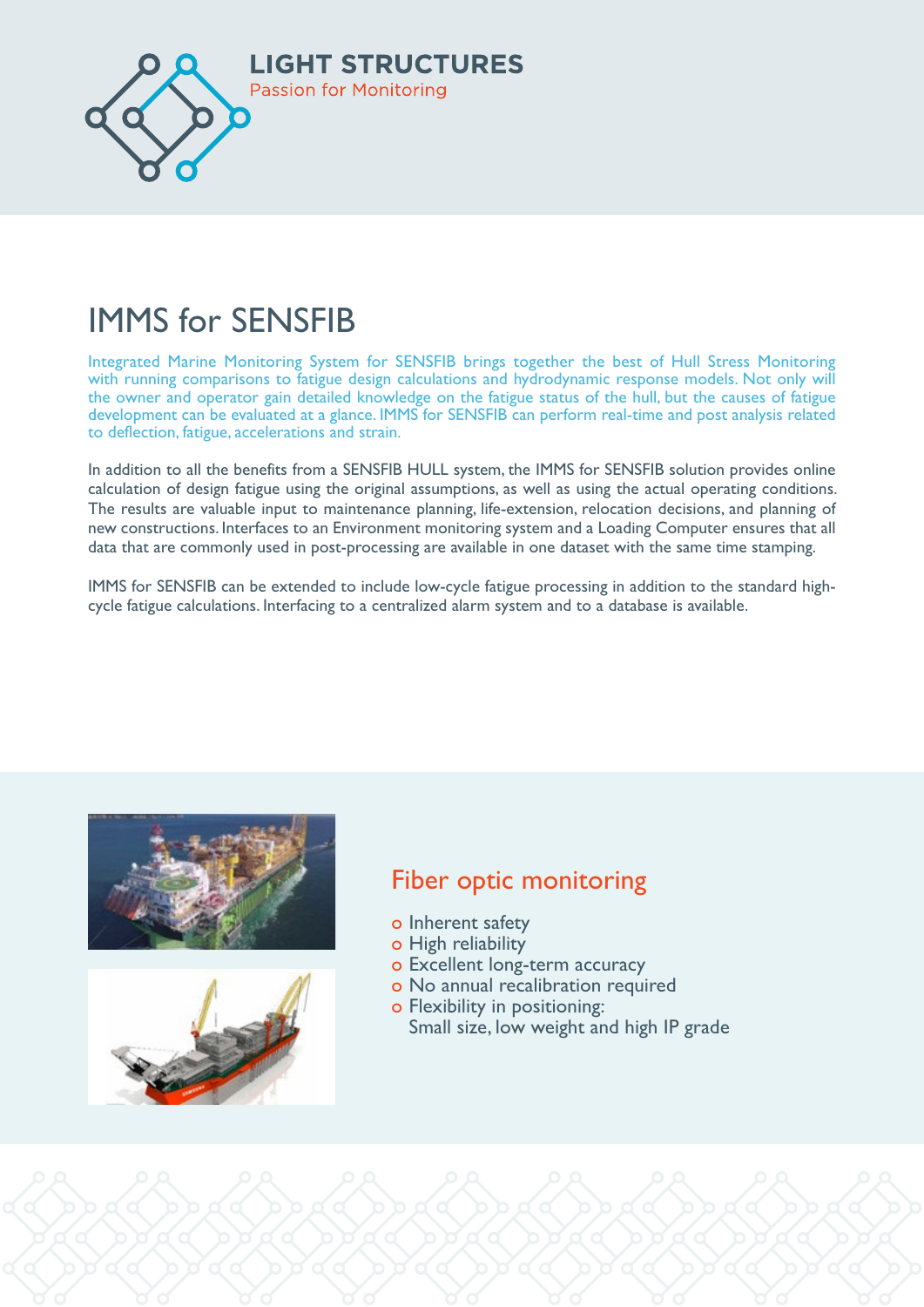

### INANAC C. CENT  $\blacksquare$ IMMS for SENSFIB

Integrated Marine Monitoring System for SENSFIB brings together the best of Hull Stress Monitoring the owner and operator gain detailed knowledge on the fatigue status of the hull, but the causes of fatigue status of the hull, but the causes of fatigue development can be evaluated at a glance. IMMS for SENSFIB can perform real-time and post analysis related to deflection, fatigue, accelerations and strain. The strain was exampled as  $\mathbb{R}^n$  and  $\mathbb{R}^n$ with running comparisons to fatigue design calculations and hydrodynamic response models. Not only will

calculation of design fatigue using the original assumptions, as well as using the actual operating conditions. The results are valuable input to maintenance planning, life-extension, relocation decisions, and planning of HEW CONSU UCUONS. HICH RICES CO AN ENVIORMENT MONICO MY SYSTEM AND A LOADING COMPUTER TISURES THAT data that are commonly used in post-processing are available in one dataset with the same time stamping. In addition to all the benefits from a SENSFIB HULL system, the IMMS for SENSFIB solution provides online new constructions. Interfaces to an Environment monitoring system and a Loading Computer ensures that all

IMMS for SENSFIB can be extended to include low-cycle fatigue processing in addition to the standard high- $^{\prime}$  ,  $^{\prime}$  ,  $^{\prime}$  ,  $^{\prime}$   $^{\prime}$  ,  $^{\prime}$  ,  $^{\prime}$  ,  $^{\prime}$  ,  $^{\prime}$  ,  $^{\prime}$  ,  $^{\prime}$  ,  $^{\prime}$  ,  $^{\prime}$  ,  $^{\prime}$  ,  $^{\prime}$  ,  $^{\prime}$  ,  $^{\prime}$  ,  $^{\prime}$  ,  $^{\prime}$  ,  $^{\prime}$  ,  $^{\prime}$  ,  $^{\prime}$  ,  $^{\prime}$  ,  $^{\prime}$  ,  $^{\prime}$  cycle fatigue calculations. Interfacing to a centralized alarm system and to a database is available.





# Fiber optic monitoring

- o Inherent safety
- o High reliability
- o Excellent long-term accuracy
- o No annual recalibration required
- **o** Flexibility in positioning: **o Flexibility in positioning:** Small size, low weight and high IP grade